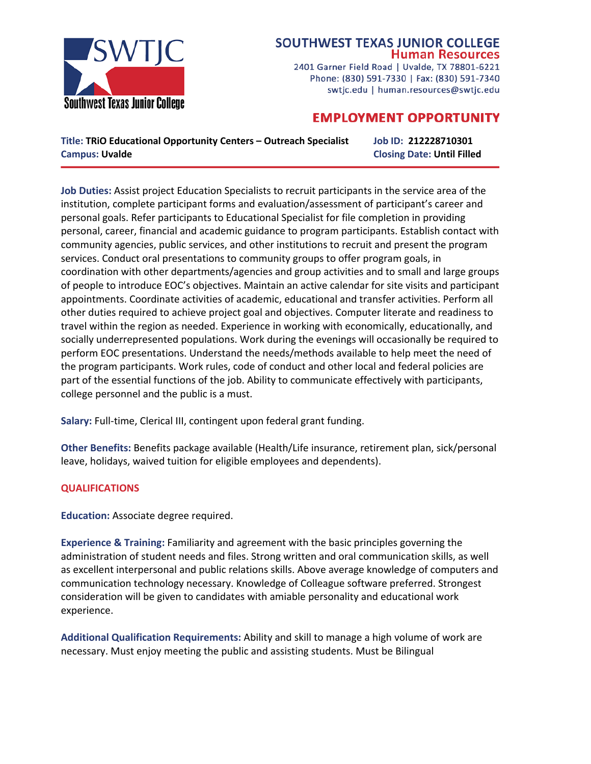

## **SOUTHWEST TEXAS JUNIOR COLLEGE Human Resources**

2401 Garner Field Road | Uvalde, TX 78801-6221 Phone: (830) 591-7330 | Fax: (830) 591-7340 swtjc.edu | human.resources@swtjc.edu

## **EMPLOYMENT OPPORTUNITY**

**Title: TRiO Educational Opportunity Centers – Outreach Specialist Job ID: 212228710301 Campus: Uvalde Closing Date: Until Filled**

**Job Duties:** Assist project Education Specialists to recruit participants in the service area of the institution, complete participant forms and evaluation/assessment of participant's career and personal goals. Refer participants to Educational Specialist for file completion in providing personal, career, financial and academic guidance to program participants. Establish contact with community agencies, public services, and other institutions to recruit and present the program services. Conduct oral presentations to community groups to offer program goals, in coordination with other departments/agencies and group activities and to small and large groups of people to introduce EOC's objectives. Maintain an active calendar for site visits and participant appointments. Coordinate activities of academic, educational and transfer activities. Perform all other duties required to achieve project goal and objectives. Computer literate and readiness to travel within the region as needed. Experience in working with economically, educationally, and socially underrepresented populations. Work during the evenings will occasionally be required to perform EOC presentations. Understand the needs/methods available to help meet the need of the program participants. Work rules, code of conduct and other local and federal policies are part of the essential functions of the job. Ability to communicate effectively with participants, college personnel and the public is a must.

**Salary:** Full-time, Clerical III, contingent upon federal grant funding.

**Other Benefits:** Benefits package available (Health/Life insurance, retirement plan, sick/personal leave, holidays, waived tuition for eligible employees and dependents).

## **QUALIFICATIONS**

**Education:** Associate degree required.

**Experience & Training:** Familiarity and agreement with the basic principles governing the administration of student needs and files. Strong written and oral communication skills, as well as excellent interpersonal and public relations skills. Above average knowledge of computers and communication technology necessary. Knowledge of Colleague software preferred. Strongest consideration will be given to candidates with amiable personality and educational work experience.

**Additional Qualification Requirements:** Ability and skill to manage a high volume of work are necessary. Must enjoy meeting the public and assisting students. Must be Bilingual